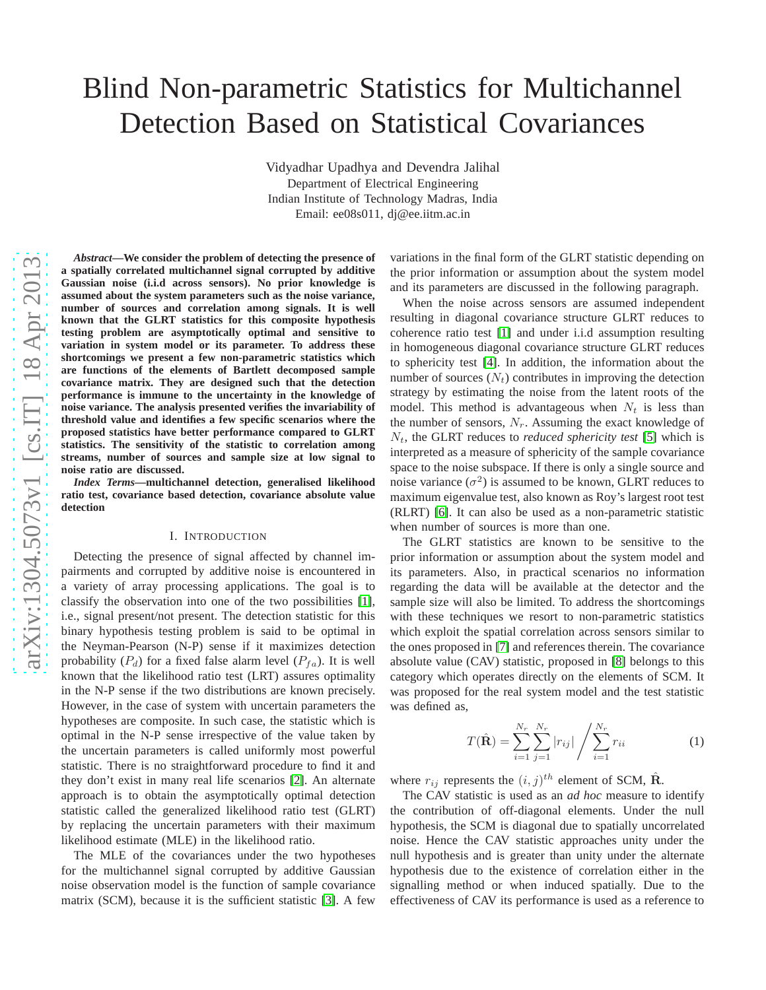# Blind Non-parametric Statistics for Multichannel Detection Based on Statistical Covariances

Vidyadhar Upadhya and Devendra Jalihal Department of Electrical Engineering Indian Institute of Technology Madras, India Email: ee08s011, dj@ee.iitm.ac.in

*Abstract***—We consider the problem of detecting the presence of a spatially correlated multichannel signal corrupted by additive Gaussian noise (i.i.d across sensors). No prior knowledge i s assumed about the system parameters such as the noise variance, number of sources and correlation among signals. It is well known that the GLRT statistics for this composite hypothesi s testing problem are asymptotically optimal and sensitive t o variation in system model or its parameter. To address these shortcomings we present a few non-parametric statistics which are functions of the elements of Bartlett decomposed sample covariance matrix. They are designed such that the detectio n performance is immune to the uncertainty in the knowledge of noise variance. The analysis presented verifies the invariability of threshold value and identifies a few specific scenarios where the proposed statistics have better performance compared to GLRT statistics. The sensitivity of the statistic to correlation among streams, number of sources and sample size at low signal to noise ratio are discussed.** *Index Terms***—multichannel detection, generalised likelihood ratio test, covariance based detection, covariance absolute value detection**

# I. INTRODUCTION

Detecting the presence of signal affected by channel impairments and corrupted by additive noise is encountered in a variety of array processing applications. The goal is to classify the observation into one of the two possibilities [\[1\]](#page-5-0), i.e., signal present/not present. The detection statistic for this binary hypothesis testing problem is said to be optimal in the Neyman-Pearson (N-P) sense if it maximizes detection probability  $(P_d)$  for a fixed false alarm level  $(P_{fa})$ . It is well known that the likelihood ratio test (LRT) assures optimality in the N-P sense if the two distributions are known precisely . However, in the case of system with uncertain parameters the hypotheses are composite. In such case, the statistic which is optimal in the N-P sense irrespective of the value taken by the uncertain parameters is called uniformly most powerful statistic. There is no straightforward procedure to find it and they don't exist in many real life scenarios [\[2\]](#page-5-1). An alternat e approach is to obtain the asymptotically optimal detection statistic called the generalized likelihood ratio test (GLRT) by replacing the uncertain parameters with their maximum likelihood estimate (MLE) in the likelihood ratio.

The MLE of the covariances under the two hypotheses for the multichannel signal corrupted by additive Gaussian noise observation model is the function of sample covarianc e matrix (SCM), because it is the sufficient statistic [\[3\]](#page-5-2). A fe w

variations in the final form of the GLRT statistic depending o n the prior information or assumption about the system model and its parameters are discussed in the following paragraph .

When the noise across sensors are assumed independent resulting in diagonal covariance structure GLRT reduces to coherence ratio test [\[1\]](#page-5-0) and under i.i.d assumption resulting in homogeneous diagonal covariance structure GLRT reduces to sphericity test [\[4\]](#page-5-3). In addition, the information about the number of sources  $(N_t)$  contributes in improving the detection strategy by estimating the noise from the latent roots of the model. This method is advantageous when  $N_t$  is less than the number of sensors,  $N_r$ . Assuming the exact knowledge of  $N_t$ , the GLRT reduces to *reduced sphericity test* [\[5\]](#page-5-4) which is interpreted as a measure of sphericity of the sample covariance space to the noise subspace. If there is only a single source and noise variance  $(\sigma^2)$  is assumed to be known, GLRT reduces to maximum eigenvalue test, also known as Roy's largest root test (RLRT) [\[6\]](#page-5-5). It can also be used as a non-parametric statistic when number of sources is more than one.

The GLRT statistics are known to be sensitive to the prior information or assumption about the system model and its parameters. Also, in practical scenarios no informatio n regarding the data will be available at the detector and the sample size will also be limited. To address the shortcoming s with these techniques we resort to non-parametric statistics which exploit the spatial correlation across sensors similar to the ones proposed in [\[7\]](#page-5-6) and references therein. The covariance absolute value (CAV) statistic, proposed in [\[8\]](#page-5-7) belongs to this category which operates directly on the elements of SCM. It was proposed for the real system model and the test statistic was defined as,

$$
T(\hat{\mathbf{R}}) = \sum_{i=1}^{N_r} \sum_{j=1}^{N_r} |r_{ij}| \sqrt{\sum_{i=1}^{N_r} r_{ii}}
$$
 (1)

where  $r_{ij}$  represents the  $(i, j)^{th}$  element of SCM,  $\hat{\mathbf{R}}$ .

The CAV statistic is used as an *ad hoc* measure to identify the contribution of off-diagonal elements. Under the null hypothesis, the SCM is diagonal due to spatially uncorrelated noise. Hence the CAV statistic approaches unity under the null hypothesis and is greater than unity under the alternat e hypothesis due to the existence of correlation either in the signalling method or when induced spatially. Due to the effectiveness of CAV its performance is used as a reference to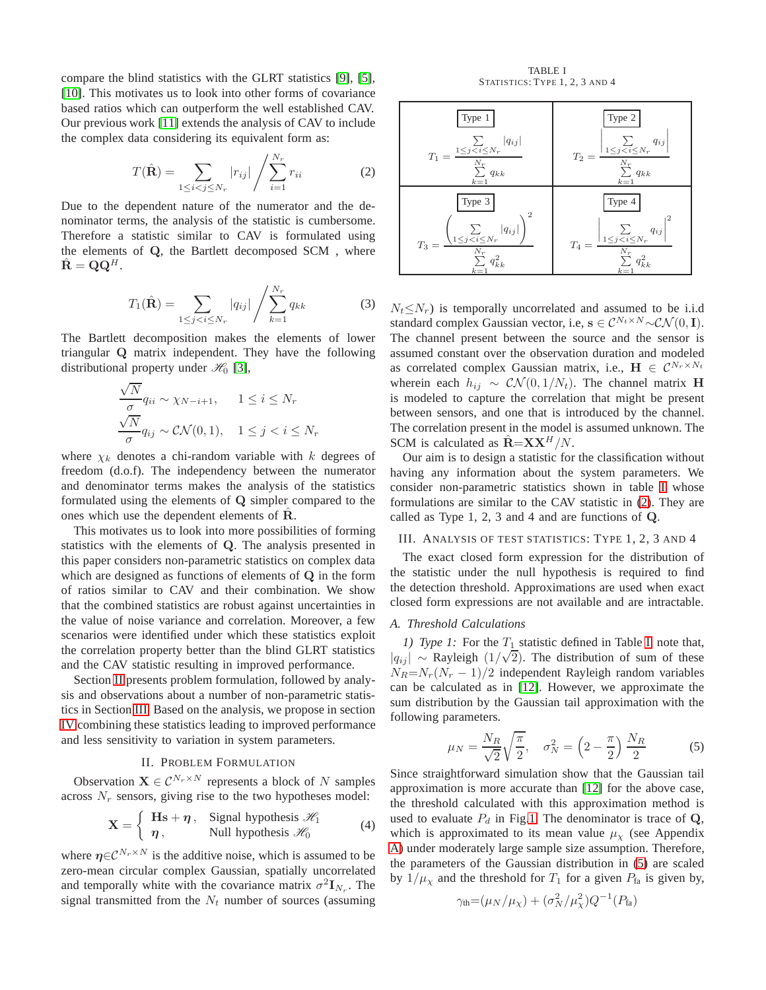compare the blind statistics with the GLRT statistics [\[9\]](#page-5-8), [\[5\]](#page-5-4), [\[10\]](#page-5-9). This motivates us to look into other forms of covariance based ratios which can outperform the well established CAV. Our previous work [\[11\]](#page-5-10) extends the analysis of CAV to include the complex data considering its equivalent form as:

<span id="page-1-3"></span>
$$
T(\hat{\mathbf{R}}) = \sum_{1 \le i < j \le N_r} |r_{ij}| \left/ \sum_{i=1}^{N_r} r_{ii} \right. \tag{2}
$$

Due to the dependent nature of the numerator and the denominator terms, the analysis of the statistic is cumbersome. Therefore a statistic similar to CAV is formulated using the elements of Q, the Bartlett decomposed SCM , where  $\hat{\mathbf{R}} = \mathbf{Q}\mathbf{Q}^H$ .

$$
T_1(\hat{\mathbf{R}}) = \sum_{1 \le j < i \le N_r} |q_{ij}| \left/ \sum_{k=1}^{N_r} q_{kk} \right. \tag{3}
$$

The Bartlett decomposition makes the elements of lower triangular Q matrix independent. They have the following distributional property under  $\mathcal{H}_0$  [\[3\]](#page-5-2),

$$
\frac{\sqrt{N}}{\sigma} q_{ii} \sim \chi_{N-i+1}, \quad 1 \le i \le N_r
$$
  

$$
\frac{\sqrt{N}}{\sigma} q_{ij} \sim \mathcal{CN}(0, 1), \quad 1 \le j < i \le N_r
$$

where  $\chi_k$  denotes a chi-random variable with k degrees of freedom (d.o.f). The independency between the numerator and denominator terms makes the analysis of the statistics formulated using the elements of Q simpler compared to the ones which use the dependent elements of  $\hat{R}$ .

This motivates us to look into more possibilities of forming statistics with the elements of Q. The analysis presented in this paper considers non-parametric statistics on complex data which are designed as functions of elements of Q in the form of ratios similar to CAV and their combination. We show that the combined statistics are robust against uncertainties in the value of noise variance and correlation. Moreover, a few scenarios were identified under which these statistics exploit the correlation property better than the blind GLRT statistics and the CAV statistic resulting in improved performance.

Section [II](#page-1-0) presents problem formulation, followed by analysis and observations about a number of non-parametric statistics in Section [III.](#page-1-1) Based on the analysis, we propose in section [IV](#page-2-0) combining these statistics leading to improved performance and less sensitivity to variation in system parameters.

# II. PROBLEM FORMULATION

<span id="page-1-0"></span>Observation  $\mathbf{X} \in \mathcal{C}^{N_r \times N}$  represents a block of N samples across  $N_r$  sensors, giving rise to the two hypotheses model:

<span id="page-1-5"></span>
$$
\mathbf{X} = \begin{cases} \mathbf{H}\mathbf{s} + \boldsymbol{\eta}, & \text{Signal hypothesis } \mathcal{H}_1 \\ \boldsymbol{\eta}, & \text{Null hypothesis } \mathcal{H}_0 \end{cases}
$$
 (4)

where  $\eta \in \mathcal{C}^{N_r \times N}$  is the additive noise, which is assumed to be zero-mean circular complex Gaussian, spatially uncorrelated and temporally white with the covariance matrix  $\sigma^2 \mathbf{I}_{N_r}$ . The signal transmitted from the  $N_t$  number of sources (assuming

TABLE I STATISTICS: TYPE 1, 2, 3 AND 4

<span id="page-1-2"></span>

| Type 1                                                                                            | Type 2                                                                                                                                       |
|---------------------------------------------------------------------------------------------------|----------------------------------------------------------------------------------------------------------------------------------------------|
| $ q_{ij} $                                                                                        | $q_{ij}$                                                                                                                                     |
| $\sum_{1 \leq j < i \leq N_r}$                                                                    | $\big  \sum_{1 \leq j < i \leq N_r}$                                                                                                         |
| $T_1 = \cdot$                                                                                     | $T_2 =$                                                                                                                                      |
| $\overline{N_r}$                                                                                  | $N_r$                                                                                                                                        |
| $q_{kk}$                                                                                          | $\sum q_{kk}$                                                                                                                                |
| $k=1$                                                                                             | $k=1$                                                                                                                                        |
| Type 3<br>2<br>$ q_{ij} $<br>$1 \leq j \leq i \leq N_r$<br>$T_3=$<br>$N_r$<br>$q_{kk}^2$<br>$k=1$ | Type 4<br>$q_{ij}$<br>$\underbrace{\sum_{1\leq j < i \leq N_r}}$<br>$\mathcal{T}_4$ $=$<br>$\boldsymbol{N}_r$<br>$\cdot$ $q_{kk}^2$<br>$k=1$ |

 $N_t \leq N_r$ ) is temporally uncorrelated and assumed to be i.i.d standard complex Gaussian vector, i.e,  $s \in C^{N_t \times N} \sim \mathcal{CN}(0, I)$ . The channel present between the source and the sensor is assumed constant over the observation duration and modeled as correlated complex Gaussian matrix, i.e.,  $\mathbf{H} \in \mathcal{C}^{N_r \times N_t}$ wherein each  $h_{ij} \sim \mathcal{CN}(0, 1/N_t)$ . The channel matrix H is modeled to capture the correlation that might be present between sensors, and one that is introduced by the channel. The correlation present in the model is assumed unknown. The SCM is calculated as  $\hat{\mathbf{R}} = \mathbf{X} \mathbf{X}^H / N$ .

Our aim is to design a statistic for the classification without having any information about the system parameters. We consider non-parametric statistics shown in table [I](#page-1-2) whose formulations are similar to the CAV statistic in [\(2\)](#page-1-3). They are called as Type 1, 2, 3 and 4 and are functions of Q.

#### <span id="page-1-1"></span>III. ANALYSIS OF TEST STATISTICS: TYPE 1, 2, 3 AND 4

The exact closed form expression for the distribution of the statistic under the null hypothesis is required to find the detection threshold. Approximations are used when exact closed form expressions are not available and are intractable.

## <span id="page-1-6"></span>*A. Threshold Calculations*

*1)* Type 1: For the  $T_1$  statistic defined in Table [I,](#page-1-2) note that,  $|q_{ij}| \sim$  Rayleigh  $(1/\sqrt{2})$ . The distribution of sum of these  $N_R=N_r(N_r-1)/2$  independent Rayleigh random variables can be calculated as in [\[12\]](#page-5-11). However, we approximate the sum distribution by the Gaussian tail approximation with the following parameters.

<span id="page-1-4"></span>
$$
\mu_N = \frac{N_R}{\sqrt{2}} \sqrt{\frac{\pi}{2}}, \quad \sigma_N^2 = \left(2 - \frac{\pi}{2}\right) \frac{N_R}{2} \tag{5}
$$

Since straightforward simulation show that the Gaussian tail approximation is more accurate than [\[12\]](#page-5-11) for the above case, the threshold calculated with this approximation method is used to evaluate  $P_d$  in Fig[.1.](#page-3-0) The denominator is trace of  $Q$ , which is approximated to its mean value  $\mu<sub>x</sub>$  (see Appendix [A\)](#page-4-0) under moderately large sample size assumption. Therefore, the parameters of the Gaussian distribution in [\(5\)](#page-1-4) are scaled by  $1/\mu_X$  and the threshold for  $T_1$  for a given  $P_{fa}$  is given by,

$$
\gamma_{\text{th}} = (\mu_N/\mu_\chi) + (\sigma_N^2/\mu_\chi^2)Q^{-1}(P_{\text{fa}})
$$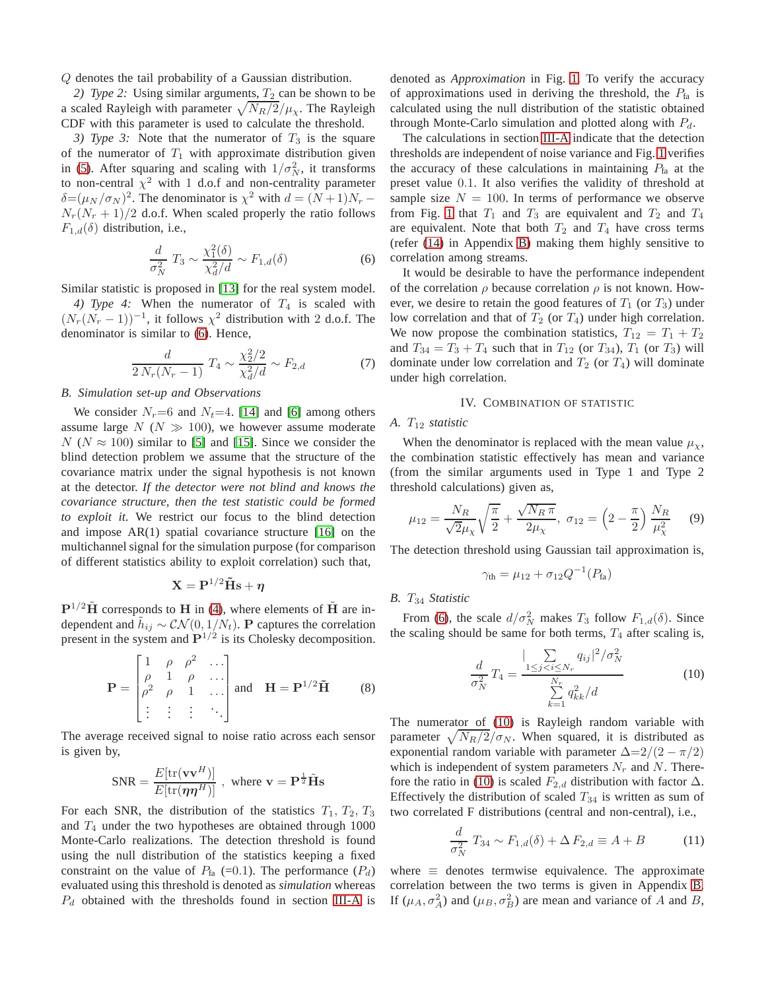Q denotes the tail probability of a Gaussian distribution.

*2) Type 2:* Using similar arguments,  $T_2$  can be shown to be a scaled Rayleigh with parameter  $\sqrt{N_R/2}/\mu_\chi$ . The Rayleigh CDF with this parameter is used to calculate the threshold.

*3) Type 3:* Note that the numerator of  $T_3$  is the square of the numerator of  $T_1$  with approximate distribution given in [\(5\)](#page-1-4). After squaring and scaling with  $1/\sigma_N^2$ , it transforms to non-central  $\chi^2$  with 1 d.o.f and non-centrality parameter  $\delta = (\mu_N / \sigma_N)^2$ . The denominator is  $\chi^2$  with  $d = (N+1)N_r$  –  $N_r(N_r + 1)/2$  d.o.f. When scaled properly the ratio follows  $F_{1,d}(\delta)$  distribution, i.e.,

<span id="page-2-1"></span>
$$
\frac{d}{\sigma_N^2} T_3 \sim \frac{\chi_1^2(\delta)}{\chi_d^2/d} \sim F_{1,d}(\delta)
$$
 (6)

Similar statistic is proposed in [\[13\]](#page-5-12) for the real system model. *4) Type 4:* When the numerator of  $T_4$  is scaled with  $(N_r(N_r-1))^{-1}$ , it follows  $\chi^2$  distribution with 2 d.o.f. The denominator is similar to [\(6\)](#page-2-1). Hence,

$$
\frac{d}{2 N_r (N_r - 1)} T_4 \sim \frac{\chi_2^2 / 2}{\chi_d^2 / d} \sim F_{2,d} \tag{7}
$$

# <span id="page-2-3"></span>*B. Simulation set-up and Observations*

We consider  $N_r=6$  and  $N_t=4$ . [\[14\]](#page-5-13) and [\[6\]](#page-5-5) among others assume large  $N$  ( $N \gg 100$ ), we however assume moderate  $N (N \approx 100)$  similar to [\[5\]](#page-5-4) and [\[15\]](#page-5-14). Since we consider the blind detection problem we assume that the structure of the covariance matrix under the signal hypothesis is not known at the detector. *If the detector were not blind and knows the covariance structure, then the test statistic could be formed to exploit it*. We restrict our focus to the blind detection and impose AR(1) spatial covariance structure [\[16\]](#page-5-15) on the multichannel signal for the simulation purpose (for comparison of different statistics ability to exploit correlation) such that,

$$
\mathbf{X} = \mathbf{P}^{1/2} \tilde{\mathbf{H}} \mathbf{s} + \boldsymbol{\eta}
$$

 $P^{1/2}$ H corresponds to H in [\(4\)](#page-1-5), where elements of H are independent and  $\tilde{h}_{ij} \sim \mathcal{CN}(0, 1/N_t)$ . P captures the correlation present in the system and  $\mathbf{P}^{1/2}$  is its Cholesky decomposition.

$$
\mathbf{P} = \begin{bmatrix} 1 & \rho & \rho^2 & \cdots \\ \rho & 1 & \rho & \cdots \\ \rho^2 & \rho & 1 & \cdots \\ \vdots & \vdots & \vdots & \ddots \end{bmatrix} \text{ and } \mathbf{H} = \mathbf{P}^{1/2} \tilde{\mathbf{H}} \qquad (8)
$$

The average received signal to noise ratio across each sensor is given by,

$$
SNR = \frac{E[\text{tr}(\mathbf{v}\mathbf{v}^H)]}{E[\text{tr}(\boldsymbol{\eta}\boldsymbol{\eta}^H)]}, \text{ where } \mathbf{v} = \mathbf{P}^{\frac{1}{2}}\tilde{\mathbf{H}}\mathbf{s}
$$

For each SNR, the distribution of the statistics  $T_1, T_2, T_3$ and  $T_4$  under the two hypotheses are obtained through 1000 Monte-Carlo realizations. The detection threshold is found using the null distribution of the statistics keeping a fixed constraint on the value of  $P_{fa}$  (=0.1). The performance  $(P_d)$ evaluated using this threshold is denoted as *simulation* whereas  $P_d$  obtained with the thresholds found in section [III-A](#page-1-6) is

denoted as *Approximation* in Fig. [1.](#page-3-0) To verify the accuracy of approximations used in deriving the threshold, the  $P_{fa}$  is calculated using the null distribution of the statistic obtained through Monte-Carlo simulation and plotted along with  $P_d$ .

The calculations in section [III-A](#page-1-6) indicate that the detection thresholds are independent of noise variance and Fig. [1](#page-3-0) verifies the accuracy of these calculations in maintaining  $P_{fa}$  at the preset value 0.1. It also verifies the validity of threshold at sample size  $N = 100$ . In terms of performance we observe from Fig. [1](#page-3-0) that  $T_1$  and  $T_3$  are equivalent and  $T_2$  and  $T_4$ are equivalent. Note that both  $T_2$  and  $T_4$  have cross terms (refer [\(14\)](#page-4-1) in Appendix [B\)](#page-4-1) making them highly sensitive to correlation among streams.

It would be desirable to have the performance independent of the correlation  $\rho$  because correlation  $\rho$  is not known. However, we desire to retain the good features of  $T_1$  (or  $T_3$ ) under low correlation and that of  $T_2$  (or  $T_4$ ) under high correlation. We now propose the combination statistics,  $T_{12} = T_1 + T_2$ and  $T_{34} = T_3 + T_4$  such that in  $T_{12}$  (or  $T_{34}$ ),  $T_1$  (or  $T_3$ ) will dominate under low correlation and  $T_2$  (or  $T_4$ ) will dominate under high correlation.

#### IV. COMBINATION OF STATISTIC

## <span id="page-2-0"></span>*A.* T<sup>12</sup> *statistic*

When the denominator is replaced with the mean value  $\mu_{\chi}$ , the combination statistic effectively has mean and variance (from the similar arguments used in Type 1 and Type 2 threshold calculations) given as,

<span id="page-2-4"></span>
$$
\mu_{12} = \frac{N_R}{\sqrt{2}\mu_\chi} \sqrt{\frac{\pi}{2}} + \frac{\sqrt{N_R \pi}}{2\mu_\chi}, \ \sigma_{12} = \left(2 - \frac{\pi}{2}\right) \frac{N_R}{\mu_\chi^2} \tag{9}
$$

The detection threshold using Gaussian tail approximation is,

$$
\gamma_{\rm th} = \mu_{12} + \sigma_{12} Q^{-1}(P_{\rm fa})
$$

# *B.* T<sup>34</sup> *Statistic*

From [\(6\)](#page-2-1), the scale  $d/\sigma_N^2$  makes  $T_3$  follow  $F_{1,d}(\delta)$ . Since the scaling should be same for both terms,  $T_4$  after scaling is,

<span id="page-2-2"></span>
$$
\frac{d}{\sigma_N^2} T_4 = \frac{\sum_{1 \le j < i \le N_r} q_{ij} \, |^2 / \sigma_N^2}{\sum_{k=1}^{N_r} q_{kk}^2 / d} \tag{10}
$$

The numerator of [\(10\)](#page-2-2) is Rayleigh random variable with parameter  $\sqrt{N_R/2}/\sigma_N$ . When squared, it is distributed as exponential random variable with parameter  $\Delta = 2/(2 - \pi/2)$ which is independent of system parameters  $N_r$  and N. There-fore the ratio in [\(10\)](#page-2-2) is scaled  $F_{2,d}$  distribution with factor  $\Delta$ . Effectively the distribution of scaled  $T_{34}$  is written as sum of two correlated F distributions (central and non-central), i.e.,

$$
\frac{d}{\sigma_N^2} T_{34} \sim F_{1,d}(\delta) + \Delta F_{2,d} \equiv A + B \tag{11}
$$

where  $\equiv$  denotes termwise equivalence. The approximate correlation between the two terms is given in Appendix [B.](#page-4-1) If  $(\mu_A, \sigma_A^2)$  and  $(\mu_B, \sigma_B^2)$  are mean and variance of A and B,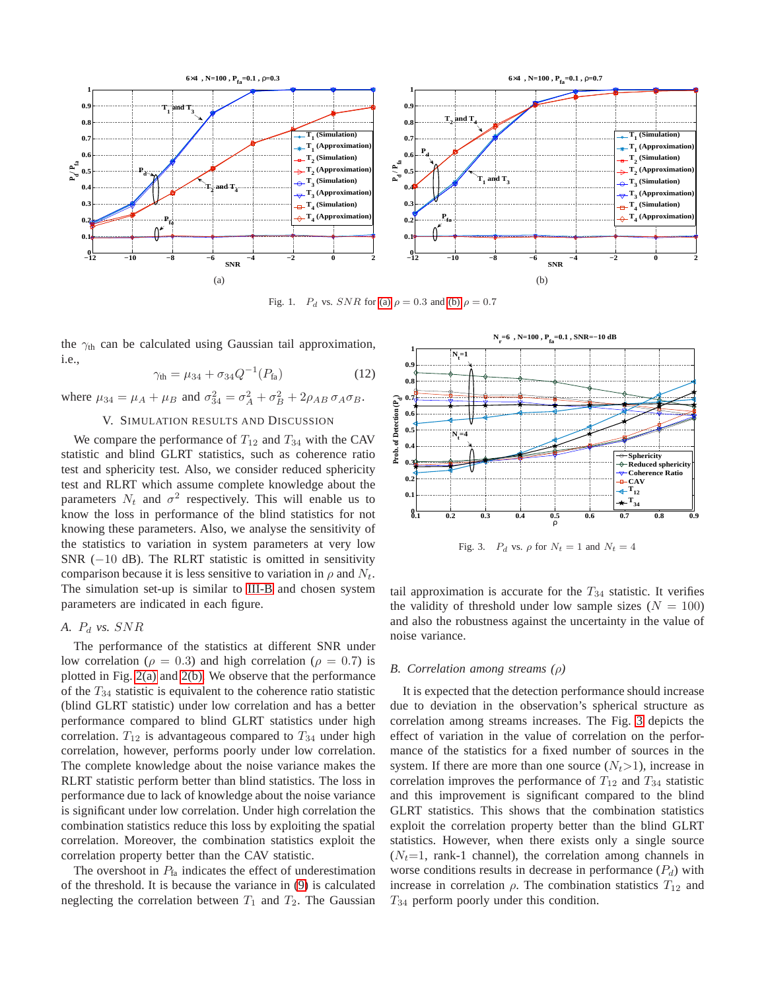<span id="page-3-1"></span>

<span id="page-3-0"></span>Fig. 1.  $P_d$  vs.  $SNR$  for [\(a\)](#page-3-1)  $\rho = 0.3$  and [\(b\)](#page-3-2)  $\rho = 0.7$ 

the  $\gamma_{\text{th}}$  can be calculated using Gaussian tail approximation, i.e.,

$$
\gamma_{\text{th}} = \mu_{34} + \sigma_{34} Q^{-1} (P_{\text{fa}})
$$
 (12)

where  $\mu_{34} = \mu_A + \mu_B$  and  $\sigma_{34}^2 = \sigma_A^2 + \sigma_B^2 + 2\rho_{AB} \sigma_A \sigma_B$ .

# V. SIMULATION RESULTS AND DISCUSSION

We compare the performance of  $T_{12}$  and  $T_{34}$  with the CAV statistic and blind GLRT statistics, such as coherence ratio test and sphericity test. Also, we consider reduced sphericity test and RLRT which assume complete knowledge about the parameters  $N_t$  and  $\sigma^2$  respectively. This will enable us to know the loss in performance of the blind statistics for not knowing these parameters. Also, we analyse the sensitivity of the statistics to variation in system parameters at very low SNR  $(-10$  dB). The RLRT statistic is omitted in sensitivity comparison because it is less sensitive to variation in  $\rho$  and  $N_t$ . The simulation set-up is similar to [III-B](#page-2-3) and chosen system parameters are indicated in each figure.

# *A.* P<sup>d</sup> *vs.* SNR

The performance of the statistics at different SNR under low correlation ( $\rho = 0.3$ ) and high correlation ( $\rho = 0.7$ ) is plotted in Fig. [2\(a\)](#page-4-2) and [2\(b\).](#page-4-3) We observe that the performance of the  $T_{34}$  statistic is equivalent to the coherence ratio statistic (blind GLRT statistic) under low correlation and has a better performance compared to blind GLRT statistics under high correlation.  $T_{12}$  is advantageous compared to  $T_{34}$  under high correlation, however, performs poorly under low correlation. The complete knowledge about the noise variance makes the RLRT statistic perform better than blind statistics. The loss in performance due to lack of knowledge about the noise variance is significant under low correlation. Under high correlation the combination statistics reduce this loss by exploiting the spatial correlation. Moreover, the combination statistics exploit the correlation property better than the CAV statistic.

The overshoot in  $P_{fa}$  indicates the effect of underestimation of the threshold. It is because the variance in [\(9\)](#page-2-4) is calculated neglecting the correlation between  $T_1$  and  $T_2$ . The Gaussian

<span id="page-3-2"></span>

<span id="page-3-3"></span>Fig. 3.  $P_d$  vs.  $\rho$  for  $N_t = 1$  and  $N_t = 4$ 

tail approximation is accurate for the  $T_{34}$  statistic. It verifies the validity of threshold under low sample sizes ( $N = 100$ ) and also the robustness against the uncertainty in the value of noise variance.

#### *B. Correlation among streams (*ρ*)*

It is expected that the detection performance should increase due to deviation in the observation's spherical structure as correlation among streams increases. The Fig. [3](#page-3-3) depicts the effect of variation in the value of correlation on the performance of the statistics for a fixed number of sources in the system. If there are more than one source  $(N_t>1)$ , increase in correlation improves the performance of  $T_{12}$  and  $T_{34}$  statistic and this improvement is significant compared to the blind GLRT statistics. This shows that the combination statistics exploit the correlation property better than the blind GLRT statistics. However, when there exists only a single source  $(N_t=1, \text{ rank-1 channel})$ , the correlation among channels in worse conditions results in decrease in performance  $(P_d)$  with increase in correlation  $\rho$ . The combination statistics  $T_{12}$  and  $T_{34}$  perform poorly under this condition.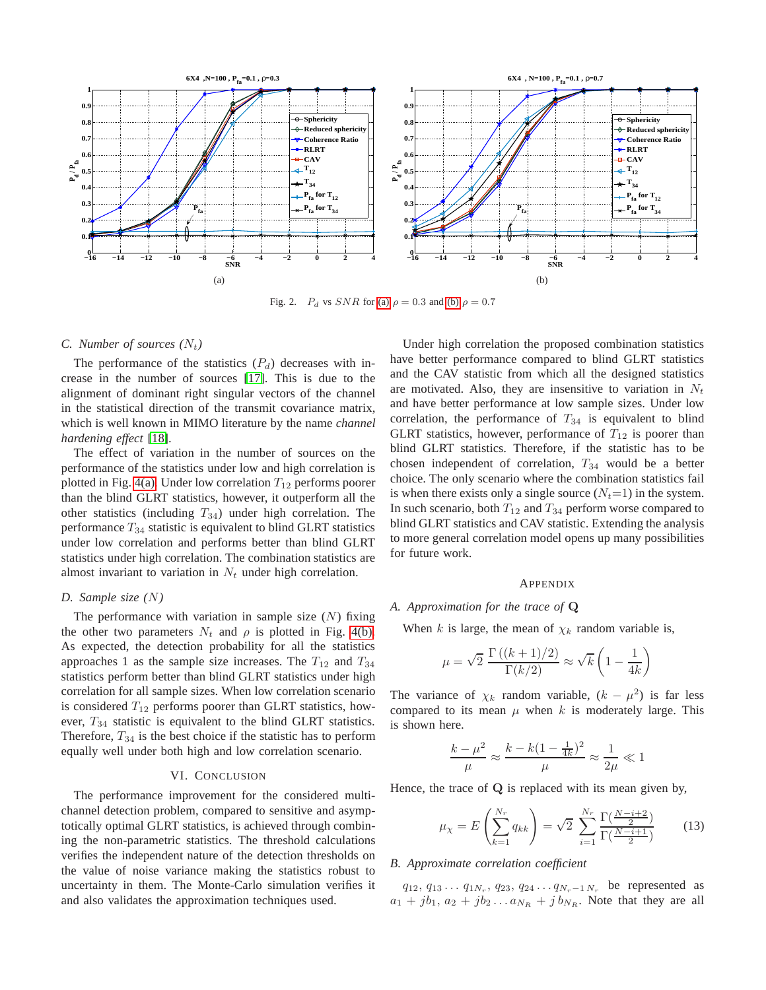<span id="page-4-2"></span>

Fig. 2.  $P_d$  vs  $SNR$  for [\(a\)](#page-4-2)  $\rho = 0.3$  and [\(b\)](#page-4-3)  $\rho = 0.7$ 

## *C. Number of sources*  $(N_t)$

The performance of the statistics  $(P_d)$  decreases with increase in the number of sources [\[17\]](#page-5-16). This is due to the alignment of dominant right singular vectors of the channel in the statistical direction of the transmit covariance matrix, which is well known in MIMO literature by the name *channel hardening effect* [\[18\]](#page-5-17).

The effect of variation in the number of sources on the performance of the statistics under low and high correlation is plotted in Fig. [4\(a\).](#page-5-18) Under low correlation  $T_{12}$  performs poorer than the blind GLRT statistics, however, it outperform all the other statistics (including  $T_{34}$ ) under high correlation. The performance  $T_{34}$  statistic is equivalent to blind GLRT statistics under low correlation and performs better than blind GLRT statistics under high correlation. The combination statistics are almost invariant to variation in  $N_t$  under high correlation.

# *D. Sample size (*N*)*

The performance with variation in sample size  $(N)$  fixing the other two parameters  $N_t$  and  $\rho$  is plotted in Fig. [4\(b\).](#page-5-19) As expected, the detection probability for all the statistics approaches 1 as the sample size increases. The  $T_{12}$  and  $T_{34}$ statistics perform better than blind GLRT statistics under high correlation for all sample sizes. When low correlation scenario is considered  $T_{12}$  performs poorer than GLRT statistics, however, T<sup>34</sup> statistic is equivalent to the blind GLRT statistics. Therefore,  $T_{34}$  is the best choice if the statistic has to perform equally well under both high and low correlation scenario.

## VI. CONCLUSION

The performance improvement for the considered multichannel detection problem, compared to sensitive and asymptotically optimal GLRT statistics, is achieved through combining the non-parametric statistics. The threshold calculations verifies the independent nature of the detection thresholds on the value of noise variance making the statistics robust to uncertainty in them. The Monte-Carlo simulation verifies it and also validates the approximation techniques used.

<span id="page-4-3"></span>Under high correlation the proposed combination statistics have better performance compared to blind GLRT statistics and the CAV statistic from which all the designed statistics are motivated. Also, they are insensitive to variation in  $N_t$ and have better performance at low sample sizes. Under low correlation, the performance of  $T_{34}$  is equivalent to blind GLRT statistics, however, performance of  $T_{12}$  is poorer than blind GLRT statistics. Therefore, if the statistic has to be chosen independent of correlation,  $T_{34}$  would be a better choice. The only scenario where the combination statistics fail is when there exists only a single source  $(N_t=1)$  in the system. In such scenario, both  $T_{12}$  and  $T_{34}$  perform worse compared to blind GLRT statistics and CAV statistic. Extending the analysis to more general correlation model opens up many possibilities for future work.

# **APPENDIX**

#### <span id="page-4-0"></span>*A. Approximation for the trace of* Q

When k is large, the mean of  $\chi_k$  random variable is,

$$
\mu = \sqrt{2} \frac{\Gamma((k+1)/2)}{\Gamma(k/2)} \approx \sqrt{k} \left( 1 - \frac{1}{4k} \right)
$$

The variance of  $\chi_k$  random variable,  $(k - \mu^2)$  is far less compared to its mean  $\mu$  when k is moderately large. This is shown here.

$$
\frac{k-\mu^2}{\mu} \approx \frac{k-k(1-\frac{1}{4k})^2}{\mu} \approx \frac{1}{2\mu} \ll 1
$$

Hence, the trace of  $Q$  is replaced with its mean given by,

$$
\mu_{\chi} = E\left(\sum_{k=1}^{N_r} q_{kk}\right) = \sqrt{2} \sum_{i=1}^{N_r} \frac{\Gamma(\frac{N-i+2}{2})}{\Gamma(\frac{N-i+1}{2})} \tag{13}
$$

# <span id="page-4-1"></span>*B. Approximate correlation coefficient*

 $q_{12}, q_{13} \ldots q_{1N_r}, q_{23}, q_{24} \ldots q_{N_r-1 N_r}$  be represented as  $a_1 + jb_1$ ,  $a_2 + jb_2 \ldots a_{N_R} + jb_{N_R}$ . Note that they are all